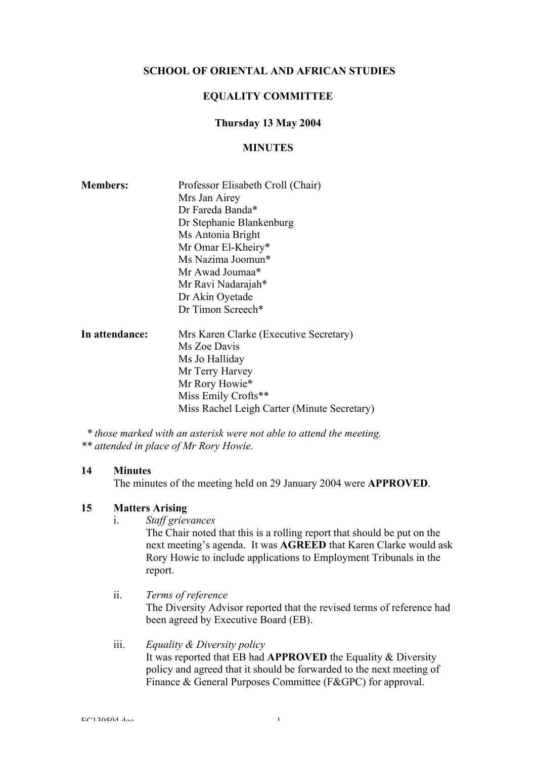# SCHOOL OF ORIENTAL AND AFRICAN STUDIES

# EQUALITY COMMITTEE

## Thursday 13 May 2004

## **MINUTES**

| <b>Members:</b> | Professor Elisabeth Croll (Chair)           |
|-----------------|---------------------------------------------|
|                 | Mrs Jan Airey                               |
|                 | Dr Fareda Banda*                            |
|                 | Dr Stephanie Blankenburg                    |
|                 | Ms Antonia Bright                           |
|                 | Mr Omar El-Kheiry*                          |
|                 | Ms Nazima Joomun*                           |
|                 | Mr Awad Joumaa*                             |
|                 | Mr Ravi Nadarajah*                          |
|                 | Dr Akin Oyetade                             |
|                 | Dr Timon Screech*                           |
| In attendance:  | Mrs Karen Clarke (Executive Secretary)      |
|                 | Ms Zoe Davis                                |
|                 | Ms Jo Halliday                              |
|                 | Mr Terry Harvey                             |
|                 | Mr Rory Howie*                              |
|                 | Miss Emily Crofts**                         |
|                 | Miss Rachel Leigh Carter (Minute Secretary) |
|                 |                                             |

 *\* those marked with an asterisk were not able to attend the meeting. \*\* attended in place of Mr Rory Howie.*

## 14 Minutes

The minutes of the meeting held on 29 January 2004 were APPROVED.

# 15 Matters Arising

i. *Staff grievances*

The Chair noted that this is a rolling report that should be put on the next meeting's agenda. It was AGREED that Karen Clarke would ask Rory Howie to include applications to Employment Tribunals in the report.

- ii. *Terms of reference* The Diversity Advisor reported that the revised terms of reference had been agreed by Executive Board (EB).
- iii. *Equality & Diversity policy* It was reported that EB had APPROVED the Equality & Diversity policy and agreed that it should be forwarded to the next meeting of Finance & General Purposes Committee (F&GPC) for approval.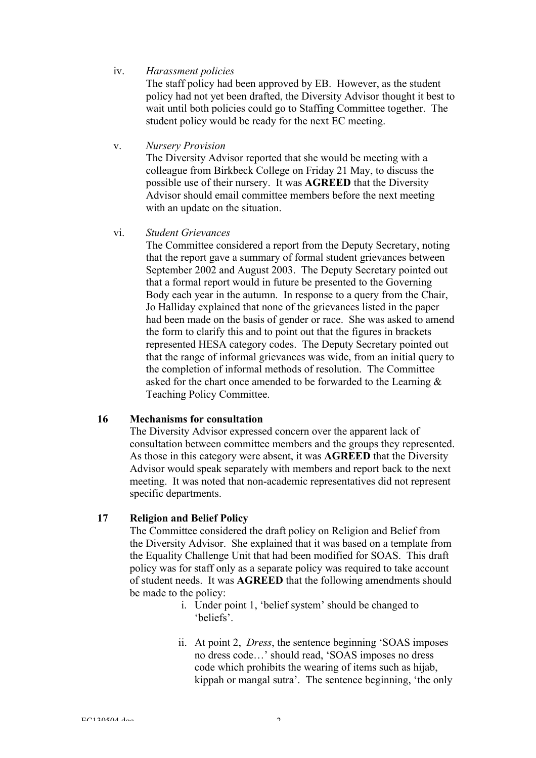## iv. *Harassment policies*

The staff policy had been approved by EB. However, as the student policy had not yet been drafted, the Diversity Advisor thought it best to wait until both policies could go to Staffing Committee together. The student policy would be ready for the next EC meeting.

v. *Nursery Provision*

The Diversity Advisor reported that she would be meeting with a colleague from Birkbeck College on Friday 21 May, to discuss the possible use of their nursery. It was AGREED that the Diversity Advisor should email committee members before the next meeting with an update on the situation.

vi. *Student Grievances*

The Committee considered a report from the Deputy Secretary, noting that the report gave a summary of formal student grievances between September 2002 and August 2003. The Deputy Secretary pointed out that a formal report would in future be presented to the Governing Body each year in the autumn. In response to a query from the Chair, Jo Halliday explained that none of the grievances listed in the paper had been made on the basis of gender or race. She was asked to amend the form to clarify this and to point out that the figures in brackets represented HESA category codes. The Deputy Secretary pointed out that the range of informal grievances was wide, from an initial query to the completion of informal methods of resolution. The Committee asked for the chart once amended to be forwarded to the Learning & Teaching Policy Committee.

## 16 Mechanisms for consultation

The Diversity Advisor expressed concern over the apparent lack of consultation between committee members and the groups they represented. As those in this category were absent, it was AGREED that the Diversity Advisor would speak separately with members and report back to the next meeting. It was noted that non-academic representatives did not represent specific departments.

# 17 Religion and Belief Policy

The Committee considered the draft policy on Religion and Belief from the Diversity Advisor. She explained that it was based on a template from the Equality Challenge Unit that had been modified for SOAS. This draft policy was for staff only as a separate policy was required to take account of student needs. It was AGREED that the following amendments should be made to the policy:

- i. Under point 1, 'belief system' should be changed to 'beliefs'.
- ii. At point 2, *Dress*, the sentence beginning 'SOAS imposes no dress code…' should read, 'SOAS imposes no dress code which prohibits the wearing of items such as hijab, kippah or mangal sutra'. The sentence beginning, 'the only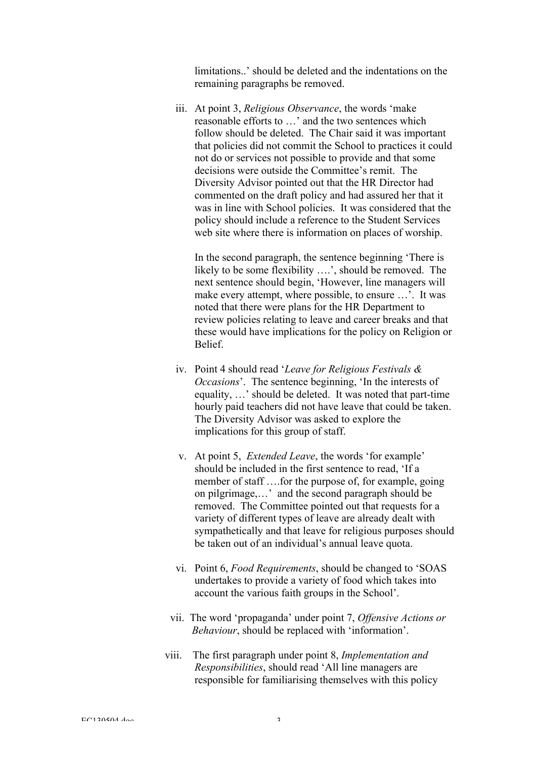limitations..' should be deleted and the indentations on the remaining paragraphs be removed.

iii. At point 3, *Religious Observance*, the words 'make reasonable efforts to …' and the two sentences which follow should be deleted. The Chair said it was important that policies did not commit the School to practices it could not do or services not possible to provide and that some decisions were outside the Committee's remit. The Diversity Advisor pointed out that the HR Director had commented on the draft policy and had assured her that it was in line with School policies. It was considered that the policy should include a reference to the Student Services web site where there is information on places of worship.

In the second paragraph, the sentence beginning 'There is likely to be some flexibility ….', should be removed. The next sentence should begin, 'However, line managers will make every attempt, where possible, to ensure ...'. It was noted that there were plans for the HR Department to review policies relating to leave and career breaks and that these would have implications for the policy on Religion or **Belief** 

- iv. Point 4 should read '*Leave for Religious Festivals & Occasions*'. The sentence beginning, 'In the interests of equality, …' should be deleted. It was noted that part-time hourly paid teachers did not have leave that could be taken. The Diversity Advisor was asked to explore the implications for this group of staff.
- v. At point 5, *Extended Leave*, the words 'for example' should be included in the first sentence to read, 'If a member of staff ….for the purpose of, for example, going on pilgrimage,…' and the second paragraph should be removed. The Committee pointed out that requests for a variety of different types of leave are already dealt with sympathetically and that leave for religious purposes should be taken out of an individual's annual leave quota.
- vi. Point 6, *Food Requirements*, should be changed to 'SOAS undertakes to provide a variety of food which takes into account the various faith groups in the School'.
- vii. The word 'propaganda' under point 7, *Offensive Actions or Behaviour*, should be replaced with 'information'.
- viii. The first paragraph under point 8, *Implementation and Responsibilities*, should read 'All line managers are responsible for familiarising themselves with this policy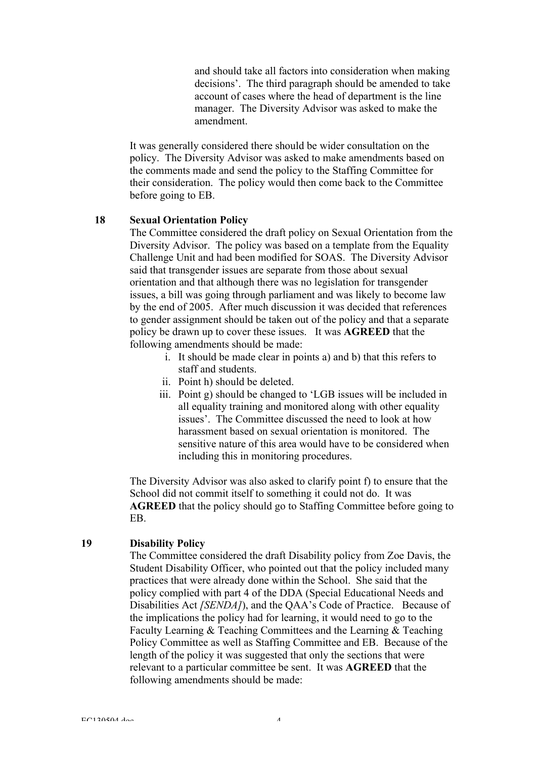and should take all factors into consideration when making decisions'. The third paragraph should be amended to take account of cases where the head of department is the line manager. The Diversity Advisor was asked to make the amendment.

It was generally considered there should be wider consultation on the policy. The Diversity Advisor was asked to make amendments based on the comments made and send the policy to the Staffing Committee for their consideration. The policy would then come back to the Committee before going to EB.

#### 18 Sexual Orientation Policy

The Committee considered the draft policy on Sexual Orientation from the Diversity Advisor. The policy was based on a template from the Equality Challenge Unit and had been modified for SOAS. The Diversity Advisor said that transgender issues are separate from those about sexual orientation and that although there was no legislation for transgender issues, a bill was going through parliament and was likely to become law by the end of 2005. After much discussion it was decided that references to gender assignment should be taken out of the policy and that a separate policy be drawn up to cover these issues. It was AGREED that the following amendments should be made:

- i. It should be made clear in points a) and b) that this refers to staff and students.
- ii. Point h) should be deleted.
- iii. Point g) should be changed to 'LGB issues will be included in all equality training and monitored along with other equality issues'. The Committee discussed the need to look at how harassment based on sexual orientation is monitored. The sensitive nature of this area would have to be considered when including this in monitoring procedures.

The Diversity Advisor was also asked to clarify point f) to ensure that the School did not commit itself to something it could not do. It was AGREED that the policy should go to Staffing Committee before going to EB.

#### 19 Disability Policy

The Committee considered the draft Disability policy from Zoe Davis, the Student Disability Officer, who pointed out that the policy included many practices that were already done within the School. She said that the policy complied with part 4 of the DDA (Special Educational Needs and Disabilities Act *[SENDA]*), and the QAA's Code of Practice. Because of the implications the policy had for learning, it would need to go to the Faculty Learning & Teaching Committees and the Learning & Teaching Policy Committee as well as Staffing Committee and EB. Because of the length of the policy it was suggested that only the sections that were relevant to a particular committee be sent. It was AGREED that the following amendments should be made: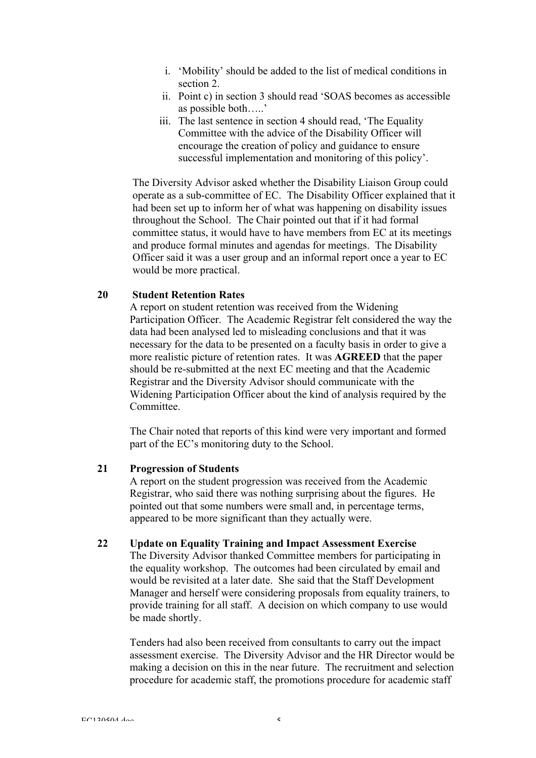- i. 'Mobility' should be added to the list of medical conditions in section 2.
- ii. Point c) in section 3 should read 'SOAS becomes as accessible as possible both…..'
- iii. The last sentence in section 4 should read, 'The Equality Committee with the advice of the Disability Officer will encourage the creation of policy and guidance to ensure successful implementation and monitoring of this policy'.

The Diversity Advisor asked whether the Disability Liaison Group could operate as a sub-committee of EC. The Disability Officer explained that it had been set up to inform her of what was happening on disability issues throughout the School. The Chair pointed out that if it had formal committee status, it would have to have members from EC at its meetings and produce formal minutes and agendas for meetings. The Disability Officer said it was a user group and an informal report once a year to EC would be more practical.

# 20 Student Retention Rates

A report on student retention was received from the Widening Participation Officer. The Academic Registrar felt considered the way the data had been analysed led to misleading conclusions and that it was necessary for the data to be presented on a faculty basis in order to give a more realistic picture of retention rates. It was AGREED that the paper should be re-submitted at the next EC meeting and that the Academic Registrar and the Diversity Advisor should communicate with the Widening Participation Officer about the kind of analysis required by the Committee.

The Chair noted that reports of this kind were very important and formed part of the EC's monitoring duty to the School.

## 21 Progression of Students

A report on the student progression was received from the Academic Registrar, who said there was nothing surprising about the figures. He pointed out that some numbers were small and, in percentage terms, appeared to be more significant than they actually were.

#### 22 Update on Equality Training and Impact Assessment Exercise

The Diversity Advisor thanked Committee members for participating in the equality workshop. The outcomes had been circulated by email and would be revisited at a later date. She said that the Staff Development Manager and herself were considering proposals from equality trainers, to provide training for all staff. A decision on which company to use would be made shortly.

Tenders had also been received from consultants to carry out the impact assessment exercise. The Diversity Advisor and the HR Director would be making a decision on this in the near future. The recruitment and selection procedure for academic staff, the promotions procedure for academic staff